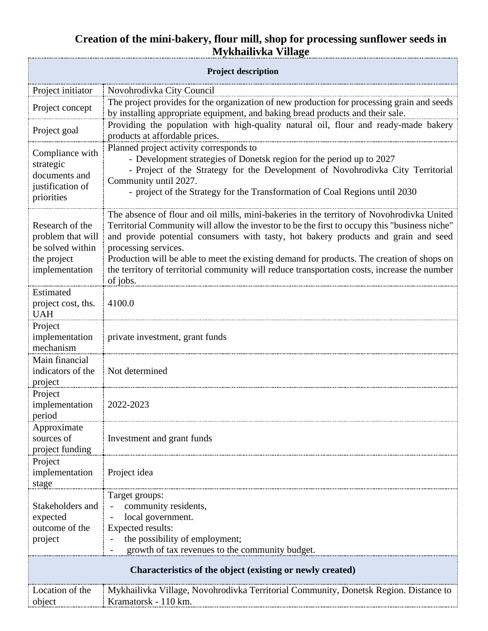## **Creation of the mini-bakery, flour mill, shop for processing sunflower seeds in Mykhailivka Village**

| <b>Project description</b>                                |                                                                                                                                                                                                                                                                                                          |
|-----------------------------------------------------------|----------------------------------------------------------------------------------------------------------------------------------------------------------------------------------------------------------------------------------------------------------------------------------------------------------|
| Project initiator                                         | Novohrodivka City Council                                                                                                                                                                                                                                                                                |
| Project concept                                           | The project provides for the organization of new production for processing grain and seeds<br>by installing appropriate equipment, and baking bread products and their sale.                                                                                                                             |
| Project goal                                              | Providing the population with high-quality natural oil, flour and ready-made bakery<br>products at affordable prices.                                                                                                                                                                                    |
| Compliance with                                           | Planned project activity corresponds to<br>- Development strategies of Donetsk region for the period up to 2027                                                                                                                                                                                          |
| strategic<br>documents and                                | - Project of the Strategy for the Development of Novohrodivka City Territorial                                                                                                                                                                                                                           |
| justification of                                          | Community until 2027.<br>- project of the Strategy for the Transformation of Coal Regions until 2030                                                                                                                                                                                                     |
| priorities                                                |                                                                                                                                                                                                                                                                                                          |
| Research of the<br>problem that will<br>be solved within  | The absence of flour and oil mills, mini-bakeries in the territory of Novohrodivka United<br>Territorial Community will allow the investor to be the first to occupy this "business niche"<br>and provide potential consumers with tasty, hot bakery products and grain and seed<br>processing services. |
| the project                                               | Production will be able to meet the existing demand for products. The creation of shops on                                                                                                                                                                                                               |
| implementation                                            | the territory of territorial community will reduce transportation costs, increase the number<br>of jobs.                                                                                                                                                                                                 |
| Estimated<br>project cost, ths.                           | 4100.0                                                                                                                                                                                                                                                                                                   |
| <b>UAH</b>                                                |                                                                                                                                                                                                                                                                                                          |
| Project<br>implementation                                 | private investment, grant funds                                                                                                                                                                                                                                                                          |
| mechanism                                                 |                                                                                                                                                                                                                                                                                                          |
| Main financial<br>indicators of the                       | Not determined                                                                                                                                                                                                                                                                                           |
| project                                                   |                                                                                                                                                                                                                                                                                                          |
| Project<br>implementation                                 | 2022-2023                                                                                                                                                                                                                                                                                                |
| period                                                    |                                                                                                                                                                                                                                                                                                          |
| Approximate                                               |                                                                                                                                                                                                                                                                                                          |
| sources of<br>project funding                             | Investment and grant funds                                                                                                                                                                                                                                                                               |
| Project                                                   |                                                                                                                                                                                                                                                                                                          |
| implementation<br>stage                                   | Project idea                                                                                                                                                                                                                                                                                             |
|                                                           | Target groups:                                                                                                                                                                                                                                                                                           |
| Stakeholders and<br>expected                              | community residents,<br>local government.                                                                                                                                                                                                                                                                |
| outcome of the                                            | Expected results:                                                                                                                                                                                                                                                                                        |
| project                                                   | the possibility of employment;                                                                                                                                                                                                                                                                           |
| growth of tax revenues to the community budget.           |                                                                                                                                                                                                                                                                                                          |
| Characteristics of the object (existing or newly created) |                                                                                                                                                                                                                                                                                                          |
| Location of the                                           | Mykhailivka Village, Novohrodivka Territorial Community, Donetsk Region. Distance to                                                                                                                                                                                                                     |
| object                                                    | Kramatorsk - 110 km.                                                                                                                                                                                                                                                                                     |